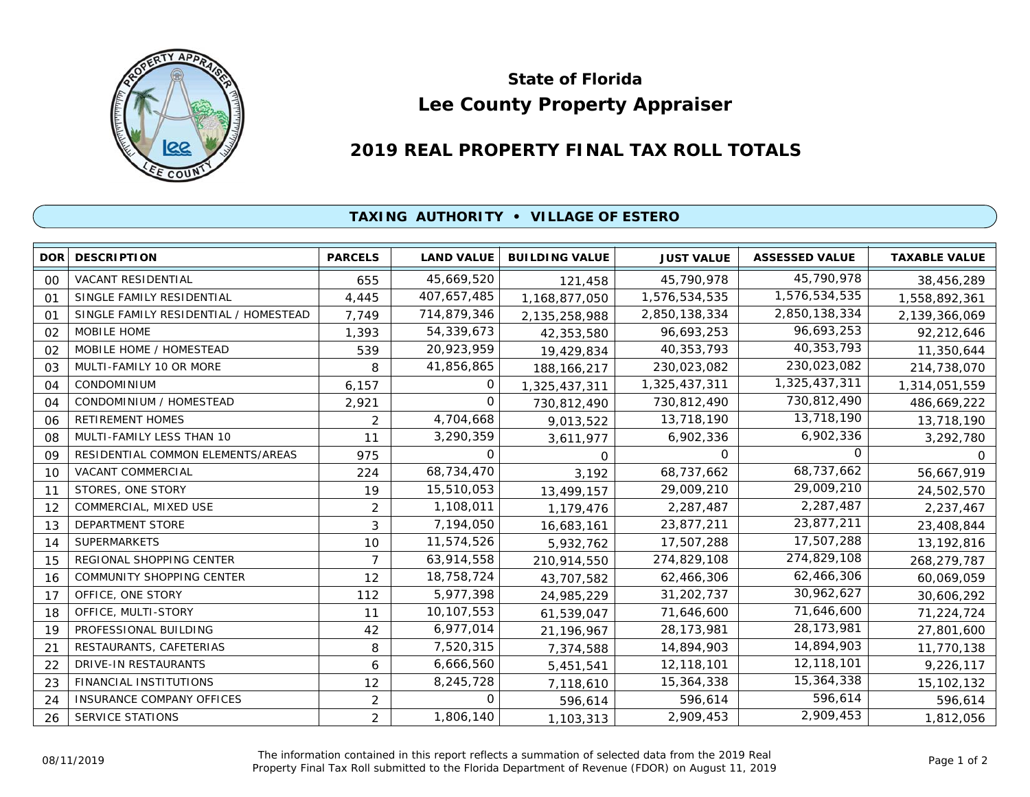

## **Lee County Property Appraiser State of Florida**

## **2019 REAL PROPERTY FINAL TAX ROLL TOTALS**

## **TAXING AUTHORITY • VILLAGE OF ESTERO**

| <b>DOR</b>     | <b>DESCRIPTION</b>                    | <b>PARCELS</b> | <b>LAND VALUE</b> | <b>BUILDING VALUE</b> | <b>JUST VALUE</b> | <b>ASSESSED VALUE</b> | <b>TAXABLE VALUE</b> |
|----------------|---------------------------------------|----------------|-------------------|-----------------------|-------------------|-----------------------|----------------------|
| 00             | VACANT RESIDENTIAL                    | 655            | 45,669,520        | 121,458               | 45,790,978        | 45,790,978            | 38,456,289           |
| O <sub>1</sub> | SINGLE FAMILY RESIDENTIAL             | 4,445          | 407,657,485       | 1,168,877,050         | 1,576,534,535     | 1,576,534,535         | 1,558,892,361        |
| 01             | SINGLE FAMILY RESIDENTIAL / HOMESTEAD | 7,749          | 714,879,346       | 2,135,258,988         | 2,850,138,334     | 2,850,138,334         | 2,139,366,069        |
| 02             | MOBILE HOME                           | 1,393          | 54,339,673        | 42,353,580            | 96,693,253        | 96,693,253            | 92,212,646           |
| 02             | MOBILE HOME / HOMESTEAD               | 539            | 20,923,959        | 19,429,834            | 40,353,793        | 40,353,793            | 11,350,644           |
| 03             | MULTI-FAMILY 10 OR MORE               | 8              | 41,856,865        | 188, 166, 217         | 230,023,082       | 230,023,082           | 214,738,070          |
| 04             | <b>CONDOMINIUM</b>                    | 6,157          | 0                 | 1,325,437,311         | 1,325,437,311     | 1,325,437,311         | 1,314,051,559        |
| 04             | CONDOMINIUM / HOMESTEAD               | 2,921          | 0                 | 730,812,490           | 730,812,490       | 730,812,490           | 486,669,222          |
| 06             | <b>RETIREMENT HOMES</b>               | 2              | 4,704,668         | 9,013,522             | 13,718,190        | 13,718,190            | 13,718,190           |
| 08             | MULTI-FAMILY LESS THAN 10             | 11             | 3,290,359         | 3,611,977             | 6,902,336         | 6,902,336             | 3,292,780            |
| 09             | RESIDENTIAL COMMON ELEMENTS/AREAS     | 975            | 0                 | 0                     | $\Omega$          | 0                     | O                    |
| 10             | VACANT COMMERCIAL                     | 224            | 68,734,470        | 3,192                 | 68,737,662        | 68,737,662            | 56,667,919           |
| 11             | STORES, ONE STORY                     | 19             | 15,510,053        | 13,499,157            | 29,009,210        | 29,009,210            | 24,502,570           |
| 12             | COMMERCIAL, MIXED USE                 | $\overline{2}$ | 1,108,011         | 1,179,476             | 2,287,487         | 2,287,487             | 2,237,467            |
| 13             | DEPARTMENT STORE                      | 3              | 7,194,050         | 16,683,161            | 23,877,211        | 23,877,211            | 23,408,844           |
| 14             | <b>SUPERMARKETS</b>                   | 10             | 11,574,526        | 5,932,762             | 17,507,288        | 17,507,288            | 13,192,816           |
| 15             | REGIONAL SHOPPING CENTER              | $\overline{7}$ | 63,914,558        | 210,914,550           | 274,829,108       | 274,829,108           | 268,279,787          |
| 16             | <b>COMMUNITY SHOPPING CENTER</b>      | 12             | 18,758,724        | 43,707,582            | 62,466,306        | 62,466,306            | 60,069,059           |
| 17             | OFFICE, ONE STORY                     | 112            | 5,977,398         | 24,985,229            | 31,202,737        | 30,962,627            | 30,606,292           |
| 18             | OFFICE, MULTI-STORY                   | 11             | 10,107,553        | 61,539,047            | 71,646,600        | 71,646,600            | 71,224,724           |
| 19             | PROFESSIONAL BUILDING                 | 42             | 6,977,014         | 21,196,967            | 28, 173, 981      | 28, 173, 981          | 27,801,600           |
| 21             | RESTAURANTS, CAFETERIAS               | 8              | 7,520,315         | 7,374,588             | 14,894,903        | 14,894,903            | 11,770,138           |
| 22             | <b>DRIVE-IN RESTAURANTS</b>           | 6              | 6,666,560         | 5,451,541             | 12,118,101        | 12,118,101            | 9,226,117            |
| 23             | FINANCIAL INSTITUTIONS                | 12             | 8,245,728         | 7,118,610             | 15,364,338        | 15,364,338            | 15,102,132           |
| 24             | <b>INSURANCE COMPANY OFFICES</b>      | 2              | 0                 | 596,614               | 596,614           | 596,614               | 596,614              |
| 26             | <b>SERVICE STATIONS</b>               | 2              | 1,806,140         | 1,103,313             | 2,909,453         | 2,909,453             | 1,812,056            |